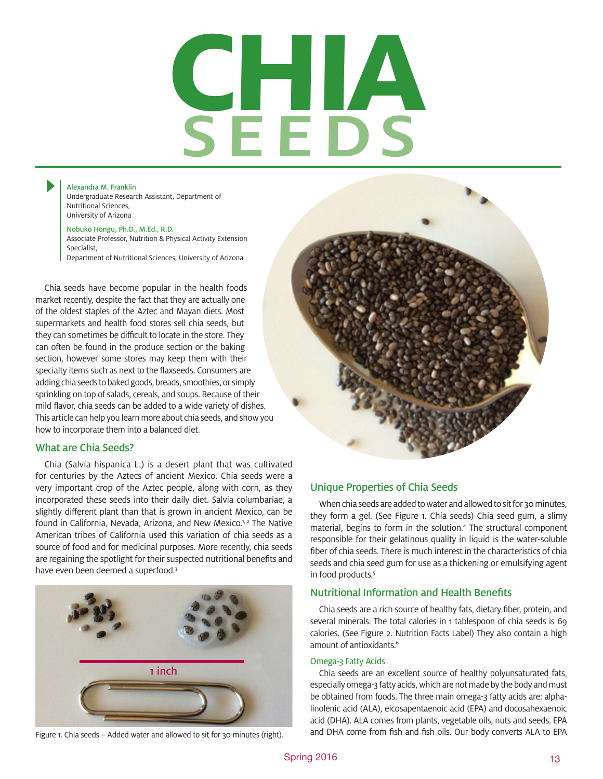# SEEDS **chia**

Alexandra M. Franklin Undergraduate Research Assistant, Department of Nutritional Sciences, University of Arizona

#### Nobuko Hongu, Ph.D., M.Ed., R.D.

Associate Professor, Nutrition & Physical Activity Extension Specialist, Department of Nutritional Sciences, University of Arizona

Chia seeds have become popular in the health foods market recently, despite the fact that they are actually one of the oldest staples of the Aztec and Mayan diets. Most supermarkets and health food stores sell chia seeds, but they can sometimes be difficult to locate in the store. They can often be found in the produce section or the baking section, however some stores may keep them with their specialty items such as next to the flaxseeds. Consumers are adding chia seeds to baked goods, breads, smoothies, or simply sprinkling on top of salads, cereals, and soups. Because of their mild flavor, chia seeds can be added to a wide variety of dishes. This article can help you learn more about chia seeds, and show you how to incorporate them into a balanced diet.

#### What are Chia Seeds?

Chia (Salvia hispanica L.) is a desert plant that was cultivated for centuries by the Aztecs of ancient Mexico. Chia seeds were a very important crop of the Aztec people, along with corn, as they incorporated these seeds into their daily diet. Salvia columbariae, a slightly different plant than that is grown in ancient Mexico, can be found in California, Nevada, Arizona, and New Mexico.<sup>1, 2</sup> The Native American tribes of California used this variation of chia seeds as a source of food and for medicinal purposes. More recently, chia seeds are regaining the spotlight for their suspected nutritional benefits and have even been deemed a superfood.<sup>3</sup>



Figure 1. Chia seeds - Added water and allowed to sit for 30 minutes (right).



#### Unique Properties of Chia Seeds

When chia seeds are added to water and allowed to sit for 30 minutes, they form a gel. (See Figure 1. Chia seeds) Chia seed gum, a slimy material, begins to form in the solution.<sup>4</sup> The structural component responsible for their gelatinous quality in liquid is the water-soluble fiber of chia seeds. There is much interest in the characteristics of chia seeds and chia seed gum for use as a thickening or emulsifying agent in food products.<sup>5</sup>

#### Nutritional Information and Health Benefits

Chia seeds are a rich source of healthy fats, dietary fiber, protein, and several minerals. The total calories in 1 tablespoon of chia seeds is 69 calories. (See Figure 2. Nutrition Facts Label) They also contain a high amount of antioxidants.<sup>6</sup>

#### Omega-3 Fatty Acids

Chia seeds are an excellent source of healthy polyunsaturated fats, especially omega-3 fatty acids, which are not made by the body and must be obtained from foods. The three main omega-3 fatty acids are: alphalinolenic acid (ALA), eicosapentaenoic acid (EPA) and docosahexaenoic acid (DHA). ALA comes from plants, vegetable oils, nuts and seeds. EPA and DHA come from fish and fish oils. Our body converts ALA to EPA